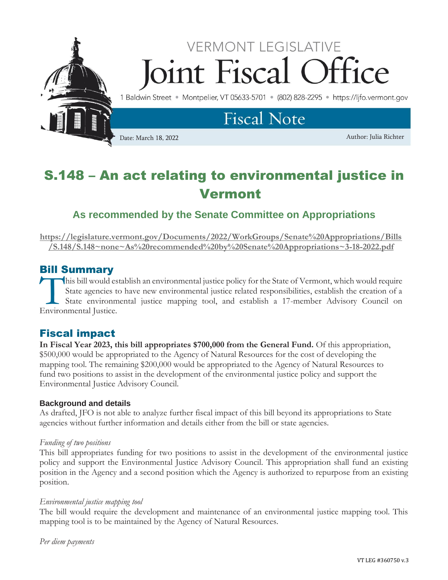

# S.148 – An act relating to environmental justice in Vermont

# **As recommended by the Senate Committee on Appropriations**

**[https://legislature.vermont.gov/Documents/2022/WorkGroups/Senate%20Appropriations/Bills](https://legislature.vermont.gov/Documents/2022/WorkGroups/Senate%20Appropriations/Bills/S.148/S.148~none~As%20recommended%20by%20Senate%20Appropriations~3-18-2022.pdf) [/S.148/S.148~none~As%20recommended%20by%20Senate%20Appropriations~3-18-2022.pdf](https://legislature.vermont.gov/Documents/2022/WorkGroups/Senate%20Appropriations/Bills/S.148/S.148~none~As%20recommended%20by%20Senate%20Appropriations~3-18-2022.pdf)**

## Bill Summary

his bill would establish an environmental justice policy for the State of Vermont, which would require State agencies to have new environmental justice related responsibilities, establish the creation of a State environmental justice mapping tool, and establish a 17-member Advisory Council on This bill would es<br>
State agencies to<br>
State environmental Justice.

# Fiscal impact

**In Fiscal Year 2023, this bill appropriates \$700,000 from the General Fund.** Of this appropriation, \$500,000 would be appropriated to the Agency of Natural Resources for the cost of developing the mapping tool. The remaining \$200,000 would be appropriated to the Agency of Natural Resources to fund two positions to assist in the development of the environmental justice policy and support the Environmental Justice Advisory Council.

## **Background and details**

As drafted, JFO is not able to analyze further fiscal impact of this bill beyond its appropriations to State agencies without further information and details either from the bill or state agencies.

## *Funding of two positions*

This bill appropriates funding for two positions to assist in the development of the environmental justice policy and support the Environmental Justice Advisory Council. This appropriation shall fund an existing position in the Agency and a second position which the Agency is authorized to repurpose from an existing position.

## *Environmental justice mapping tool*

The bill would require the development and maintenance of an environmental justice mapping tool. This mapping tool is to be maintained by the Agency of Natural Resources.

*Per diem payments*